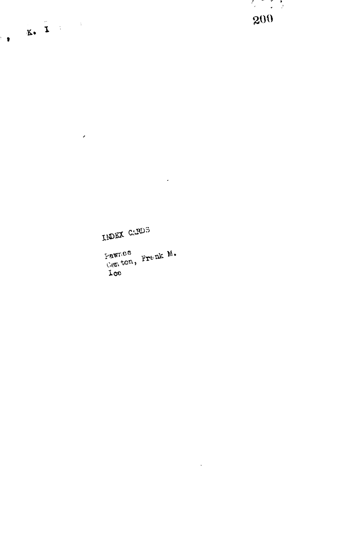Pawnes<br>Canton, Frenk M.<br>Lee

INDEX CARDS

 $\mathcal{A}^{\mathcal{A}}$ 

 $\mathcal{L}$ 

200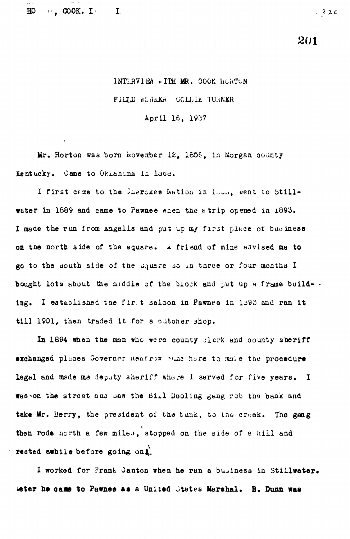$\blacksquare$ , COOK. I  $\mathbf{I}_{\mathrm{c}}$  $H<sub>O</sub>$ 

 $22c$ 

201

## INTERVIEW WITH MR. COOK HORTON

FIELD WORKER COLDIE TURNER

April 16, 1937

Mr. Horton was born November 12, 1856, in Morgan county Kentucky. Came to Okiahoma in lood.

I first came to the Cherckee Wation in loss, went to Stillwater in 1889 and came to Pawnee when the strip opened in 1893. I made the run from angalls and put up my first place of business on the north side of the square. A friend of mine advised me to go to the south side of the square so in three or four months I bought lots about the middle of the block and put up a frame build-. ing. I established the first saloon in Pawnee in 1893 and ran it till 1901, then traded it for a putcher shop.

In 1894 when the men who were county plerk and county sheriff exchanged places Governor Reafrow what here to male the procedure legal and made me deputy sheriff where I served for five years. I was on the street and saw the Bill Dooling gang rob the bank and take Mr. Berry, the president of the bank, to the creek. The gang then rode north a few miles, stopped on the side of a hill and rested awhile before going onl.

I worked for Frank Canton when he ran a business in Stillwater. Water he came to Pawnee as a United States Marshal. B. Dunn was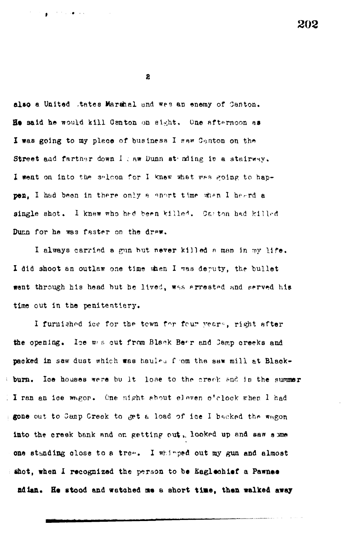202

 $\mathbf{z}$ 

 $\mathbf{g} = \mathbf{g} \times \mathbf{g}$  , where  $\mathbf{g}$ 

also a United Attes Marshal and wes an enemy of Canton. He said he would kill Centon on sight. One afternoon as I was going to my place of business I saw Canton on the Street and fartner down I haw Dunn stending is a stairway. I went on into the salcon for I knew what was going to happen. I had been in there only a anort time when I heard a single shot. I knew who had been killed. Carton had killed Dunn for he was faster on the draw.

I always carried a gun but never killed a man in my life. I did shoot an outlaw one time when I was deputy, the bullet went through his head but he lived, was arrested and served his time out in the penitentiary.

I furnished ice for the tewn for four years, right after the opening. Ice was out from Black Bear and Camp creeks and packed in saw dust which was hauled from the saw mill at Blackloe houses were bu it lose to the creek and in the summer burn. I I ran an ice wagon. One night about eleven o'clock when I had gone out to Camp Creek to get a load of ice I backed the wagon into the creek bank and on getting out, looked up and saw some one standing close to a tree. I whinped out my gun and almost shot, when I recognized the person to be Eaglechief a Pawnee adian. He stood and watched me a short time, then walked away